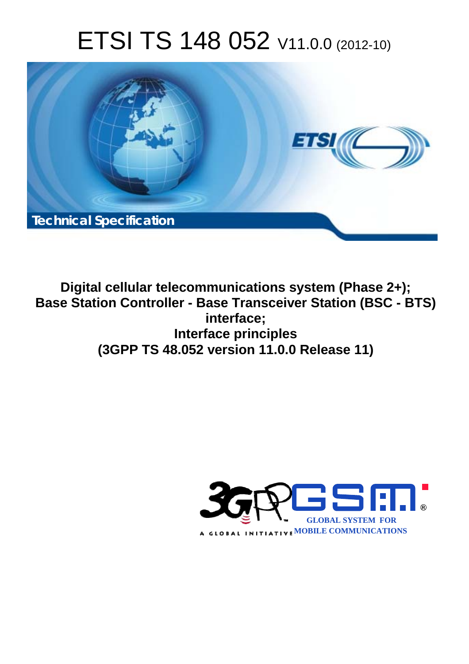# ETSI TS 148 052 V11.0.0 (2012-10)



**Digital cellular telecommunications system (Phase 2+); Base Station Controller - Base Transceiver Station (BSC - BTS) interface; Interface principles (3GPP TS 48.052 version 11.0.0 Release 11)** 

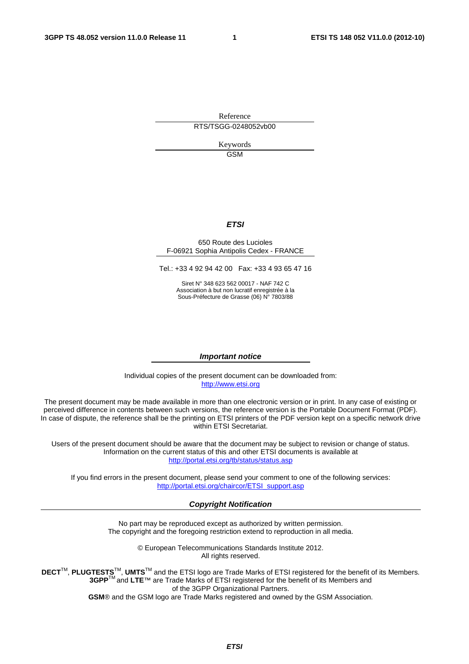Reference RTS/TSGG-0248052vb00

> Keywords GSM

#### *ETSI*

#### 650 Route des Lucioles F-06921 Sophia Antipolis Cedex - FRANCE

Tel.: +33 4 92 94 42 00 Fax: +33 4 93 65 47 16

Siret N° 348 623 562 00017 - NAF 742 C Association à but non lucratif enregistrée à la Sous-Préfecture de Grasse (06) N° 7803/88

#### *Important notice*

Individual copies of the present document can be downloaded from: [http://www.etsi.org](http://www.etsi.org/)

The present document may be made available in more than one electronic version or in print. In any case of existing or perceived difference in contents between such versions, the reference version is the Portable Document Format (PDF). In case of dispute, the reference shall be the printing on ETSI printers of the PDF version kept on a specific network drive within ETSI Secretariat.

Users of the present document should be aware that the document may be subject to revision or change of status. Information on the current status of this and other ETSI documents is available at <http://portal.etsi.org/tb/status/status.asp>

If you find errors in the present document, please send your comment to one of the following services: [http://portal.etsi.org/chaircor/ETSI\\_support.asp](http://portal.etsi.org/chaircor/ETSI_support.asp)

#### *Copyright Notification*

No part may be reproduced except as authorized by written permission. The copyright and the foregoing restriction extend to reproduction in all media.

> © European Telecommunications Standards Institute 2012. All rights reserved.

DECT<sup>™</sup>, PLUGTESTS<sup>™</sup>, UMTS<sup>™</sup> and the ETSI logo are Trade Marks of ETSI registered for the benefit of its Members. **3GPP**TM and **LTE**™ are Trade Marks of ETSI registered for the benefit of its Members and of the 3GPP Organizational Partners.

**GSM**® and the GSM logo are Trade Marks registered and owned by the GSM Association.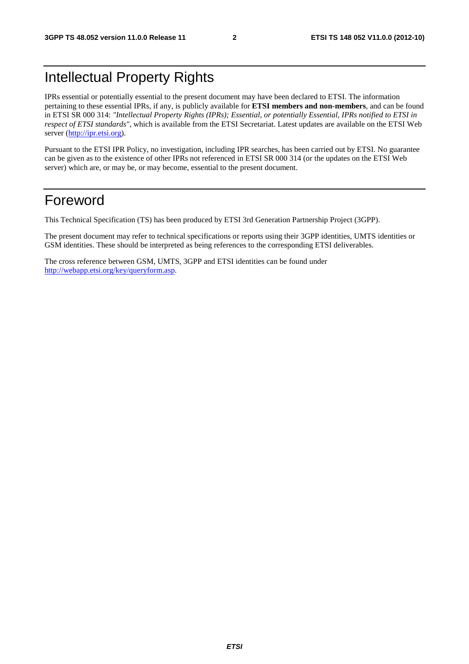# Intellectual Property Rights

IPRs essential or potentially essential to the present document may have been declared to ETSI. The information pertaining to these essential IPRs, if any, is publicly available for **ETSI members and non-members**, and can be found in ETSI SR 000 314: *"Intellectual Property Rights (IPRs); Essential, or potentially Essential, IPRs notified to ETSI in respect of ETSI standards"*, which is available from the ETSI Secretariat. Latest updates are available on the ETSI Web server [\(http://ipr.etsi.org](http://webapp.etsi.org/IPR/home.asp)).

Pursuant to the ETSI IPR Policy, no investigation, including IPR searches, has been carried out by ETSI. No guarantee can be given as to the existence of other IPRs not referenced in ETSI SR 000 314 (or the updates on the ETSI Web server) which are, or may be, or may become, essential to the present document.

# Foreword

This Technical Specification (TS) has been produced by ETSI 3rd Generation Partnership Project (3GPP).

The present document may refer to technical specifications or reports using their 3GPP identities, UMTS identities or GSM identities. These should be interpreted as being references to the corresponding ETSI deliverables.

The cross reference between GSM, UMTS, 3GPP and ETSI identities can be found under [http://webapp.etsi.org/key/queryform.asp.](http://webapp.etsi.org/key/queryform.asp)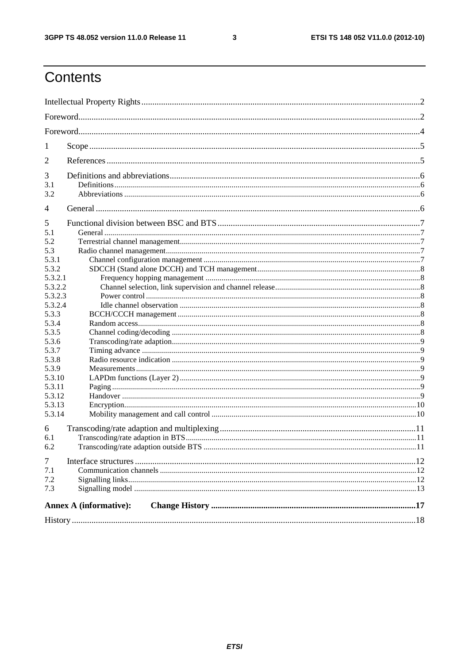$\mathbf{3}$ 

# Contents

| 1                                                                                                                                                                                                     |                               |  |
|-------------------------------------------------------------------------------------------------------------------------------------------------------------------------------------------------------|-------------------------------|--|
| 2                                                                                                                                                                                                     |                               |  |
| 3<br>3.1<br>3.2                                                                                                                                                                                       |                               |  |
| 4                                                                                                                                                                                                     |                               |  |
| 5<br>5.1<br>5.2<br>5.3<br>5.3.1<br>5.3.2<br>5.3.2.1<br>5.3.2.2<br>5.3.2.3<br>5.3.2.4<br>5.3.3<br>5.3.4<br>5.3.5<br>5.3.6<br>5.3.7<br>5.3.8<br>5.3.9<br>5.3.10<br>5.3.11<br>5.3.12<br>5.3.13<br>5.3.14 |                               |  |
| 6<br>6.1<br>6.2                                                                                                                                                                                       |                               |  |
| $\tau$<br>7.1<br>7.2<br>7.3                                                                                                                                                                           |                               |  |
|                                                                                                                                                                                                       | <b>Annex A (informative):</b> |  |
|                                                                                                                                                                                                       |                               |  |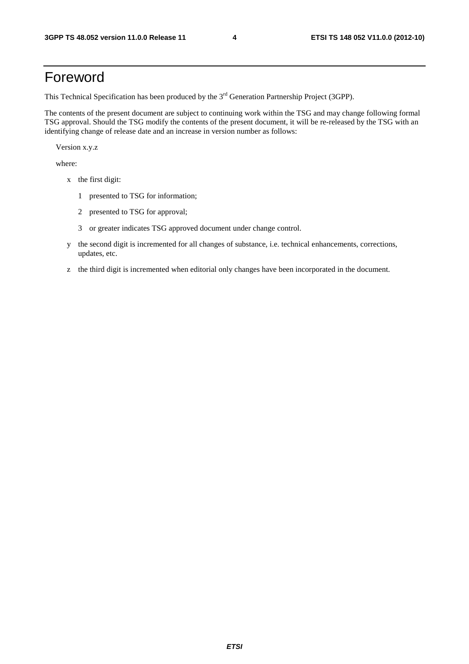# Foreword

This Technical Specification has been produced by the 3<sup>rd</sup> Generation Partnership Project (3GPP).

The contents of the present document are subject to continuing work within the TSG and may change following formal TSG approval. Should the TSG modify the contents of the present document, it will be re-released by the TSG with an identifying change of release date and an increase in version number as follows:

Version x.y.z

where:

- x the first digit:
	- 1 presented to TSG for information;
	- 2 presented to TSG for approval;
	- 3 or greater indicates TSG approved document under change control.
- y the second digit is incremented for all changes of substance, i.e. technical enhancements, corrections, updates, etc.
- z the third digit is incremented when editorial only changes have been incorporated in the document.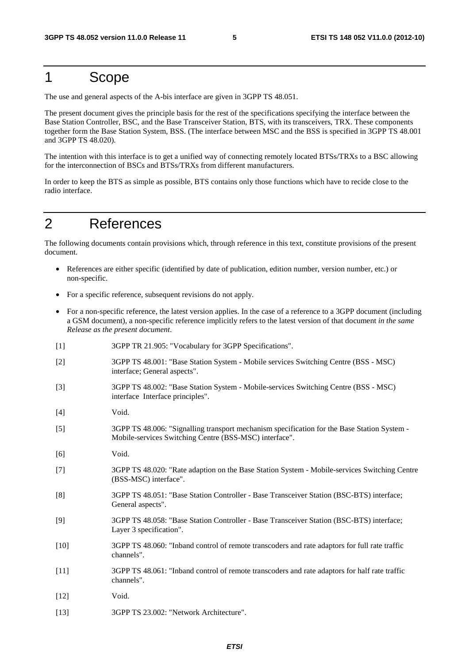# 1 Scope

The use and general aspects of the A-bis interface are given in 3GPP TS 48.051.

The present document gives the principle basis for the rest of the specifications specifying the interface between the Base Station Controller, BSC, and the Base Transceiver Station, BTS, with its transceivers, TRX. These components together form the Base Station System, BSS. (The interface between MSC and the BSS is specified in 3GPP TS 48.001 and 3GPP TS 48.020).

The intention with this interface is to get a unified way of connecting remotely located BTSs/TRXs to a BSC allowing for the interconnection of BSCs and BTSs/TRXs from different manufacturers.

In order to keep the BTS as simple as possible, BTS contains only those functions which have to recide close to the radio interface.

# 2 References

The following documents contain provisions which, through reference in this text, constitute provisions of the present document.

- References are either specific (identified by date of publication, edition number, version number, etc.) or non-specific.
- For a specific reference, subsequent revisions do not apply.
- For a non-specific reference, the latest version applies. In the case of a reference to a 3GPP document (including a GSM document), a non-specific reference implicitly refers to the latest version of that document *in the same Release as the present document*.
- [1] 3GPP TR 21.905: "Vocabulary for 3GPP Specifications".
- [2] 3GPP TS 48.001: "Base Station System Mobile services Switching Centre (BSS MSC) interface; General aspects".
- [3] 3GPP TS 48.002: "Base Station System Mobile-services Switching Centre (BSS MSC) interface Interface principles".
- [4] Void.
- [5] 3GPP TS 48.006: "Signalling transport mechanism specification for the Base Station System Mobile-services Switching Centre (BSS-MSC) interface".
- [6] Void.
- [7] 3GPP TS 48.020: "Rate adaption on the Base Station System Mobile-services Switching Centre (BSS-MSC) interface".
- [8] 3GPP TS 48.051: "Base Station Controller Base Transceiver Station (BSC-BTS) interface; General aspects".
- [9] 3GPP TS 48.058: "Base Station Controller Base Transceiver Station (BSC-BTS) interface; Layer 3 specification".
- [10] 3GPP TS 48.060: "Inband control of remote transcoders and rate adaptors for full rate traffic channels".
- [11] 3GPP TS 48.061: "Inband control of remote transcoders and rate adaptors for half rate traffic channels".
- [12] **Void.**
- [13] 3GPP TS 23.002: "Network Architecture".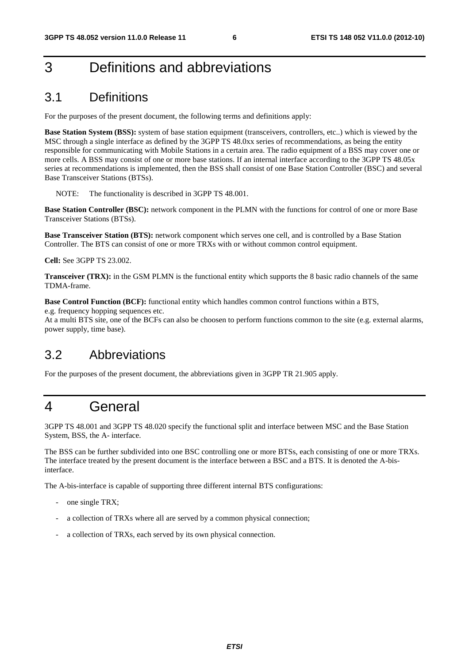# 3 Definitions and abbreviations

# 3.1 Definitions

For the purposes of the present document, the following terms and definitions apply:

**Base Station System (BSS):** system of base station equipment (transceivers, controllers, etc..) which is viewed by the MSC through a single interface as defined by the 3GPP TS 48.0xx series of recommendations, as being the entity responsible for communicating with Mobile Stations in a certain area. The radio equipment of a BSS may cover one or more cells. A BSS may consist of one or more base stations. If an internal interface according to the 3GPP TS 48.05x series at recommendations is implemented, then the BSS shall consist of one Base Station Controller (BSC) and several Base Transceiver Stations (BTSs).

NOTE: The functionality is described in 3GPP TS 48.001.

**Base Station Controller (BSC):** network component in the PLMN with the functions for control of one or more Base Transceiver Stations (BTSs).

**Base Transceiver Station (BTS):** network component which serves one cell, and is controlled by a Base Station Controller. The BTS can consist of one or more TRXs with or without common control equipment.

**Cell:** See 3GPP TS 23.002.

**Transceiver (TRX):** in the GSM PLMN is the functional entity which supports the 8 basic radio channels of the same TDMA-frame.

**Base Control Function (BCF):** functional entity which handles common control functions within a BTS,

e.g. frequency hopping sequences etc.

At a multi BTS site, one of the BCFs can also be choosen to perform functions common to the site (e.g. external alarms, power supply, time base).

## 3.2 Abbreviations

For the purposes of the present document, the abbreviations given in 3GPP TR 21.905 apply.

# 4 General

3GPP TS 48.001 and 3GPP TS 48.020 specify the functional split and interface between MSC and the Base Station System, BSS, the A- interface.

The BSS can be further subdivided into one BSC controlling one or more BTSs, each consisting of one or more TRXs. The interface treated by the present document is the interface between a BSC and a BTS. It is denoted the A-bisinterface.

The A-bis-interface is capable of supporting three different internal BTS configurations:

- one single TRX;
- a collection of TRXs where all are served by a common physical connection;
- a collection of TRXs, each served by its own physical connection.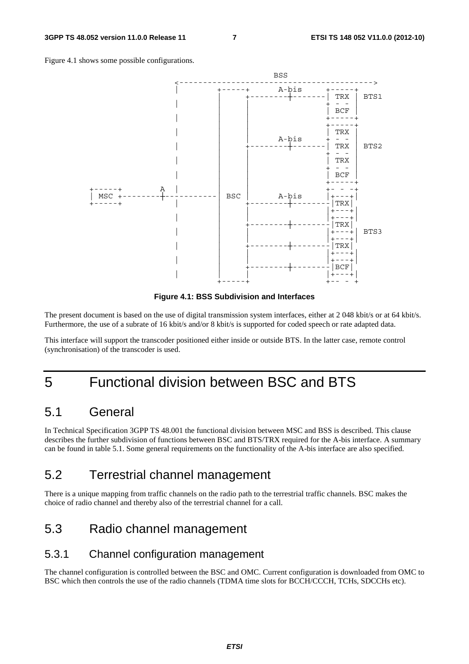



**Figure 4.1: BSS Subdivision and Interfaces** 

The present document is based on the use of digital transmission system interfaces, either at 2 048 kbit/s or at 64 kbit/s. Furthermore, the use of a subrate of 16 kbit/s and/or 8 kbit/s is supported for coded speech or rate adapted data.

This interface will support the transcoder positioned either inside or outside BTS. In the latter case, remote control (synchronisation) of the transcoder is used.

# 5 Functional division between BSC and BTS

### 5.1 General

In Technical Specification 3GPP TS 48.001 the functional division between MSC and BSS is described. This clause describes the further subdivision of functions between BSC and BTS/TRX required for the A-bis interface. A summary can be found in table 5.1. Some general requirements on the functionality of the A-bis interface are also specified.

## 5.2 Terrestrial channel management

There is a unique mapping from traffic channels on the radio path to the terrestrial traffic channels. BSC makes the choice of radio channel and thereby also of the terrestrial channel for a call.

# 5.3 Radio channel management

#### 5.3.1 Channel configuration management

The channel configuration is controlled between the BSC and OMC. Current configuration is downloaded from OMC to BSC which then controls the use of the radio channels (TDMA time slots for BCCH/CCCH, TCHs, SDCCHs etc).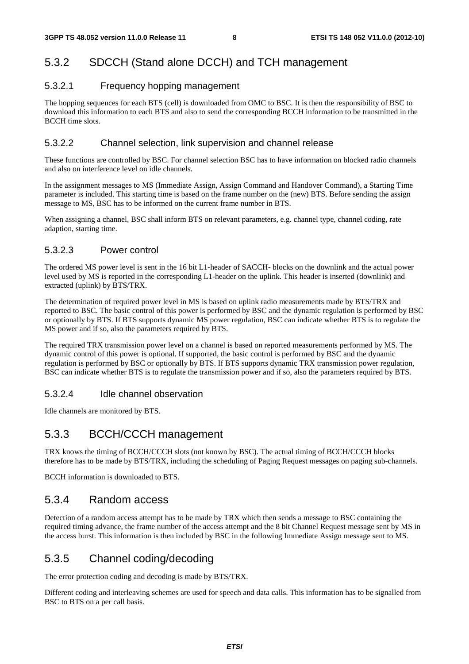### 5.3.2 SDCCH (Stand alone DCCH) and TCH management

#### 5.3.2.1 Frequency hopping management

The hopping sequences for each BTS (cell) is downloaded from OMC to BSC. It is then the responsibility of BSC to download this information to each BTS and also to send the corresponding BCCH information to be transmitted in the BCCH time slots.

#### 5.3.2.2 Channel selection, link supervision and channel release

These functions are controlled by BSC. For channel selection BSC has to have information on blocked radio channels and also on interference level on idle channels.

In the assignment messages to MS (Immediate Assign, Assign Command and Handover Command), a Starting Time parameter is included. This starting time is based on the frame number on the (new) BTS. Before sending the assign message to MS, BSC has to be informed on the current frame number in BTS.

When assigning a channel, BSC shall inform BTS on relevant parameters, e.g. channel type, channel coding, rate adaption, starting time.

#### 5.3.2.3 Power control

The ordered MS power level is sent in the 16 bit L1-header of SACCH- blocks on the downlink and the actual power level used by MS is reported in the corresponding L1-header on the uplink. This header is inserted (downlink) and extracted (uplink) by BTS/TRX.

The determination of required power level in MS is based on uplink radio measurements made by BTS/TRX and reported to BSC. The basic control of this power is performed by BSC and the dynamic regulation is performed by BSC or optionally by BTS. If BTS supports dynamic MS power regulation, BSC can indicate whether BTS is to regulate the MS power and if so, also the parameters required by BTS.

The required TRX transmission power level on a channel is based on reported measurements performed by MS. The dynamic control of this power is optional. If supported, the basic control is performed by BSC and the dynamic regulation is performed by BSC or optionally by BTS. If BTS supports dynamic TRX transmission power regulation, BSC can indicate whether BTS is to regulate the transmission power and if so, also the parameters required by BTS.

#### 5.3.2.4 Idle channel observation

Idle channels are monitored by BTS.

#### 5.3.3 BCCH/CCCH management

TRX knows the timing of BCCH/CCCH slots (not known by BSC). The actual timing of BCCH/CCCH blocks therefore has to be made by BTS/TRX, including the scheduling of Paging Request messages on paging sub-channels.

BCCH information is downloaded to BTS.

#### 5.3.4 Random access

Detection of a random access attempt has to be made by TRX which then sends a message to BSC containing the required timing advance, the frame number of the access attempt and the 8 bit Channel Request message sent by MS in the access burst. This information is then included by BSC in the following Immediate Assign message sent to MS.

### 5.3.5 Channel coding/decoding

The error protection coding and decoding is made by BTS/TRX.

Different coding and interleaving schemes are used for speech and data calls. This information has to be signalled from BSC to BTS on a per call basis.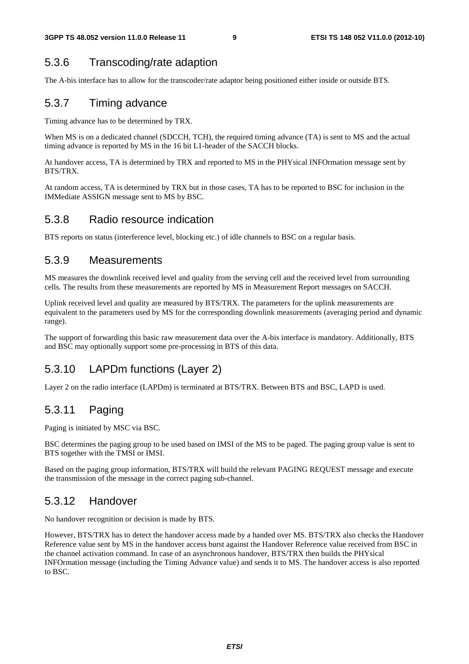# 5.3.6 Transcoding/rate adaption

The A-bis interface has to allow for the transcoder/rate adaptor being positioned either inside or outside BTS.

### 5.3.7 Timing advance

Timing advance has to be determined by TRX.

When MS is on a dedicated channel (SDCCH, TCH), the required timing advance (TA) is sent to MS and the actual timing advance is reported by MS in the 16 bit L1-header of the SACCH blocks.

At handover access, TA is determined by TRX and reported to MS in the PHYsical INFOrmation message sent by BTS/TRX.

At random access, TA is determined by TRX but in those cases, TA has to be reported to BSC for inclusion in the IMMediate ASSIGN message sent to MS by BSC.

#### 5.3.8 Radio resource indication

BTS reports on status (interference level, blocking etc.) of idle channels to BSC on a regular basis.

#### 5.3.9 Measurements

MS measures the downlink received level and quality from the serving cell and the received level from surrounding cells. The results from these measurements are reported by MS in Measurement Report messages on SACCH.

Uplink received level and quality are measured by BTS/TRX. The parameters for the uplink measurements are equivalent to the parameters used by MS for the corresponding downlink measurements (averaging period and dynamic range).

The support of forwarding this basic raw measurement data over the A-bis interface is mandatory. Additionally, BTS and BSC may optionally support some pre-processing in BTS of this data.

## 5.3.10 LAPDm functions (Layer 2)

Layer 2 on the radio interface (LAPDm) is terminated at BTS/TRX. Between BTS and BSC, LAPD is used.

## 5.3.11 Paging

Paging is initiated by MSC via BSC.

BSC determines the paging group to be used based on IMSI of the MS to be paged. The paging group value is sent to BTS together with the TMSI or IMSI.

Based on the paging group information, BTS/TRX will build the relevant PAGING REQUEST message and execute the transmission of the message in the correct paging sub-channel.

### 5.3.12 Handover

No handover recognition or decision is made by BTS.

However, BTS/TRX has to detect the handover access made by a handed over MS. BTS/TRX also checks the Handover Reference value sent by MS in the handover access burst against the Handover Reference value received from BSC in the channel activation command. In case of an asynchronous handover, BTS/TRX then builds the PHYsical INFOrmation message (including the Timing Advance value) and sends it to MS. The handover access is also reported to BSC.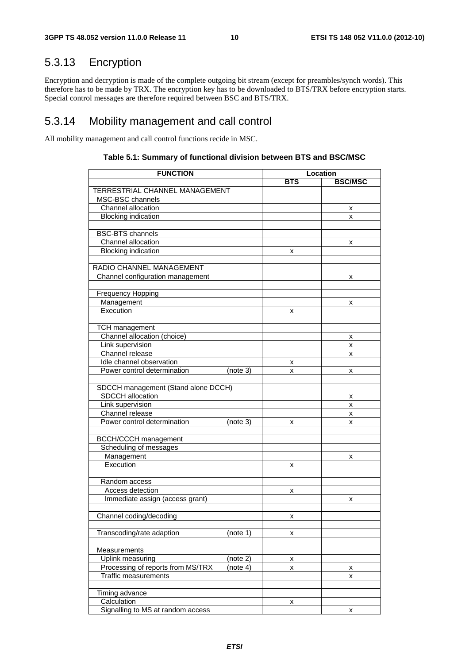# 5.3.13 Encryption

Encryption and decryption is made of the complete outgoing bit stream (except for preambles/synch words). This therefore has to be made by TRX. The encryption key has to be downloaded to BTS/TRX before encryption starts. Special control messages are therefore required between BSC and BTS/TRX.

### 5.3.14 Mobility management and call control

All mobility management and call control functions recide in MSC.

| <b>FUNCTION</b>                     |          | Location   |                |  |
|-------------------------------------|----------|------------|----------------|--|
|                                     |          | <b>BTS</b> | <b>BSC/MSC</b> |  |
| TERRESTRIAL CHANNEL MANAGEMENT      |          |            |                |  |
| MSC-BSC channels                    |          |            |                |  |
| Channel allocation                  |          |            | х              |  |
| <b>Blocking indication</b>          |          |            | x              |  |
|                                     |          |            |                |  |
| <b>BSC-BTS</b> channels             |          |            |                |  |
| Channel allocation                  |          |            | х              |  |
| <b>Blocking indication</b>          |          | x          |                |  |
|                                     |          |            |                |  |
| RADIO CHANNEL MANAGEMENT            |          |            |                |  |
| Channel configuration management    |          |            | x              |  |
|                                     |          |            |                |  |
| <b>Frequency Hopping</b>            |          |            |                |  |
| Management                          |          |            | x              |  |
| Execution                           |          | x          |                |  |
|                                     |          |            |                |  |
| <b>TCH</b> management               |          |            |                |  |
| Channel allocation (choice)         |          |            | х              |  |
| Link supervision                    |          |            | x              |  |
| Channel release                     |          |            | x              |  |
| Idle channel observation            |          | х          |                |  |
| Power control determination         | (note 3) | x          | x              |  |
|                                     |          |            |                |  |
| SDCCH management (Stand alone DCCH) |          |            |                |  |
| SDCCH allocation                    |          |            | х              |  |
| Link supervision                    |          |            | x              |  |
| Channel release                     |          |            | x              |  |
| Power control determination         | (note 3) | x          | x              |  |
|                                     |          |            |                |  |
| <b>BCCH/CCCH</b> management         |          |            |                |  |
| Scheduling of messages              |          |            |                |  |
| Management                          |          |            | x              |  |
| Execution                           |          | х          |                |  |
|                                     |          |            |                |  |
| Random access                       |          |            |                |  |
| Access detection                    |          | x          |                |  |
| Immediate assign (access grant)     |          |            | x              |  |
|                                     |          |            |                |  |
| Channel coding/decoding             |          | X          |                |  |
|                                     |          |            |                |  |
| Transcoding/rate adaption           | (note 1) | x          |                |  |
|                                     |          |            |                |  |
| Measurements                        |          |            |                |  |
| Uplink measuring                    | (note 2) | x          |                |  |
| Processing of reports from MS/TRX   | (note 4) | x          | x              |  |
| <b>Traffic measurements</b>         |          |            | x              |  |
|                                     |          |            |                |  |
| Timing advance                      |          |            |                |  |
| Calculation                         |          | x          |                |  |
| Signalling to MS at random access   |          |            | x              |  |

#### **Table 5.1: Summary of functional division between BTS and BSC/MSC**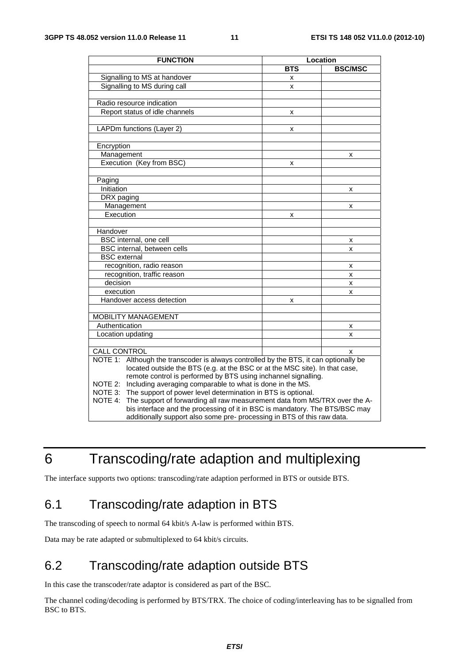| <b>FUNCTION</b>                                                                          | Location   |                |  |
|------------------------------------------------------------------------------------------|------------|----------------|--|
|                                                                                          | <b>BTS</b> | <b>BSC/MSC</b> |  |
| Signalling to MS at handover                                                             | x          |                |  |
| Signalling to MS during call                                                             | X          |                |  |
|                                                                                          |            |                |  |
| Radio resource indication                                                                |            |                |  |
| Report status of idle channels                                                           | x          |                |  |
|                                                                                          |            |                |  |
| LAPDm functions (Layer 2)                                                                | x          |                |  |
|                                                                                          |            |                |  |
| Encryption                                                                               |            |                |  |
| Management                                                                               |            | x              |  |
| Execution (Key from BSC)                                                                 | X          |                |  |
|                                                                                          |            |                |  |
| Paging                                                                                   |            |                |  |
| Initiation                                                                               |            | x              |  |
| DRX paging                                                                               |            |                |  |
| Management                                                                               |            | x              |  |
| Execution                                                                                | x          |                |  |
|                                                                                          |            |                |  |
| Handover                                                                                 |            |                |  |
| BSC internal, one cell                                                                   |            | x              |  |
| BSC internal, between cells                                                              |            | x              |  |
| <b>BSC</b> external                                                                      |            |                |  |
| recognition, radio reason                                                                |            | x              |  |
| recognition, traffic reason                                                              |            | X              |  |
| decision                                                                                 |            | x              |  |
| execution                                                                                |            | x              |  |
| Handover access detection                                                                | x          |                |  |
|                                                                                          |            |                |  |
| <b>MOBILITY MANAGEMENT</b>                                                               |            |                |  |
| Authentication                                                                           |            | x              |  |
| Location updating                                                                        |            | x              |  |
|                                                                                          |            |                |  |
| <b>CALL CONTROL</b>                                                                      |            | x              |  |
| Although the transcoder is always controlled by the BTS, it can optionally be<br>NOTE 1: |            |                |  |
| located outside the BTS (e.g. at the BSC or at the MSC site). In that case,              |            |                |  |
| remote control is performed by BTS using inchannel signalling.                           |            |                |  |
| Including averaging comparable to what is done in the MS.<br>NOTE 2:                     |            |                |  |
| NOTE 3: The support of power level determination in BTS is optional.                     |            |                |  |
| NOTE 4:<br>The support of forwarding all raw measurement data from MS/TRX over the A-    |            |                |  |
| bis interface and the processing of it in BSC is mandatory. The BTS/BSC may              |            |                |  |
| additionally support also some pre- processing in BTS of this raw data.                  |            |                |  |

# 6 Transcoding/rate adaption and multiplexing

The interface supports two options: transcoding/rate adaption performed in BTS or outside BTS.

# 6.1 Transcoding/rate adaption in BTS

The transcoding of speech to normal 64 kbit/s A-law is performed within BTS.

Data may be rate adapted or submultiplexed to 64 kbit/s circuits.

# 6.2 Transcoding/rate adaption outside BTS

In this case the transcoder/rate adaptor is considered as part of the BSC.

The channel coding/decoding is performed by BTS/TRX. The choice of coding/interleaving has to be signalled from BSC to BTS.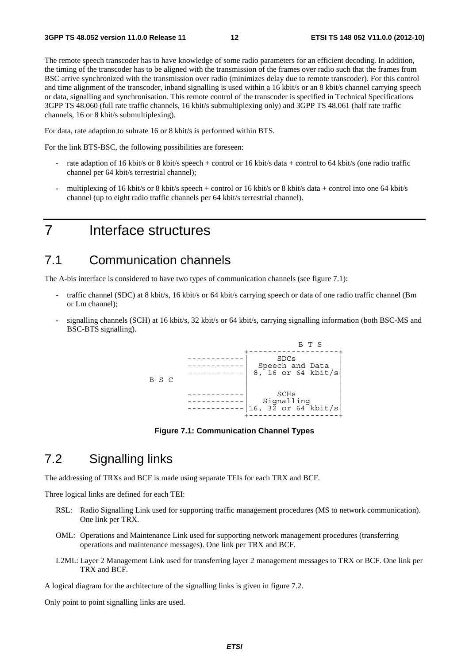The remote speech transcoder has to have knowledge of some radio parameters for an efficient decoding. In addition, the timing of the transcoder has to be aligned with the transmission of the frames over radio such that the frames from BSC arrive synchronized with the transmission over radio (minimizes delay due to remote transcoder). For this control and time alignment of the transcoder, inband signalling is used within a 16 kbit/s or an 8 kbit/s channel carrying speech or data, signalling and synchronisation. This remote control of the transcoder is specified in Technical Specifications 3GPP TS 48.060 (full rate traffic channels, 16 kbit/s submultiplexing only) and 3GPP TS 48.061 (half rate traffic channels, 16 or 8 kbit/s submultiplexing).

For data, rate adaption to subrate 16 or 8 kbit/s is performed within BTS.

For the link BTS-BSC, the following possibilities are foreseen:

- rate adaption of 16 kbit/s or 8 kbit/s speech + control or 16 kbit/s data + control to 64 kbit/s (one radio traffic channel per 64 kbit/s terrestrial channel);
- multiplexing of 16 kbit/s or 8 kbit/s speech + control or 16 kbit/s or 8 kbit/s data + control into one 64 kbit/s channel (up to eight radio traffic channels per 64 kbit/s terrestrial channel).

# 7 Interface structures

### 7.1 Communication channels

The A-bis interface is considered to have two types of communication channels (see figure 7.1):

- traffic channel (SDC) at 8 kbit/s, 16 kbit/s or 64 kbit/s carrying speech or data of one radio traffic channel (Bm or Lm channel);
- signalling channels (SCH) at 16 kbit/s, 32 kbit/s or 64 kbit/s, carrying signalling information (both BSC-MS and BSC-BTS signalling).



**Figure 7.1: Communication Channel Types** 

# 7.2 Signalling links

The addressing of TRXs and BCF is made using separate TEIs for each TRX and BCF.

Three logical links are defined for each TEI:

- RSL: Radio Signalling Link used for supporting traffic management procedures (MS to network communication). One link per TRX.
- OML: Operations and Maintenance Link used for supporting network management procedures (transferring operations and maintenance messages). One link per TRX and BCF.
- L2ML: Layer 2 Management Link used for transferring layer 2 management messages to TRX or BCF. One link per TRX and BCF.

A logical diagram for the architecture of the signalling links is given in figure 7.2.

Only point to point signalling links are used.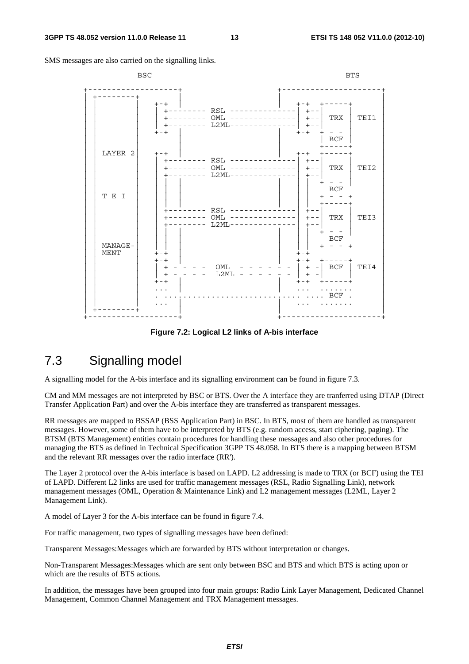SMS messages are also carried on the signalling links.

| <b>BSC</b>             |                                                                                                                        | <b>BTS</b>                                                                                               |
|------------------------|------------------------------------------------------------------------------------------------------------------------|----------------------------------------------------------------------------------------------------------|
|                        | $+ - +$<br>+-------- RSL -------<br>+-------- OML --------------  +-- <br>$L2ML------$<br>$+ - - - - - - - -$<br>$+-+$ | $+ - +$<br>$+ - -$<br>TRX<br>TEI1<br>-----  +--<br>$+ - +$<br>BCF                                        |
| LAYER 2                | $+-+$<br>$RSL$ ------<br>$OML$ --------------<br>$L2ML - -$                                                            | $+ - +$<br>$+--$<br>TRX<br>TEI2<br>$+ - -$<br>$+ - -$                                                    |
| T E I                  | RSL ------<br>$OML$ --------------<br>--------<br>$L2ML-----$                                                          | <b>BCF</b><br>$ -$<br>$+ - - - - \cdot$<br>$+ - -$<br>TRX  <br>TEI3<br>$+ - -$                           |
| MANAGE-<br><b>MENT</b> | $+-+$<br>$+-+$<br>OML<br>$\begin{array}{c} + \end{array}$<br>L2ML<br>- - - - - -<br>$+$<br>$+-+$                       | <b>BCF</b><br>$+ - - +$<br>$+-+$<br>$+ - +$<br>キーーーーーキ<br>BCF<br>TEI4<br>$+ -$<br>$\,$ + $\,$<br>$+ - +$ |
|                        |                                                                                                                        | $\ldots$ BCF                                                                                             |

**Figure 7.2: Logical L2 links of A-bis interface** 

# 7.3 Signalling model

A signalling model for the A-bis interface and its signalling environment can be found in figure 7.3.

CM and MM messages are not interpreted by BSC or BTS. Over the A interface they are tranferred using DTAP (Direct Transfer Application Part) and over the A-bis interface they are transferred as transparent messages.

RR messages are mapped to BSSAP (BSS Application Part) in BSC. In BTS, most of them are handled as transparent messages. However, some of them have to be interpreted by BTS (e.g. random access, start ciphering, paging). The BTSM (BTS Management) entities contain procedures for handling these messages and also other procedures for managing the BTS as defined in Technical Specification 3GPP TS 48.058. In BTS there is a mapping between BTSM and the relevant RR messages over the radio interface (RR').

The Layer 2 protocol over the A-bis interface is based on LAPD. L2 addressing is made to TRX (or BCF) using the TEI of LAPD. Different L2 links are used for traffic management messages (RSL, Radio Signalling Link), network management messages (OML, Operation & Maintenance Link) and L2 management messages (L2ML, Layer 2 Management Link).

A model of Layer 3 for the A-bis interface can be found in figure 7.4.

For traffic management, two types of signalling messages have been defined:

Transparent Messages:Messages which are forwarded by BTS without interpretation or changes.

Non-Transparent Messages:Messages which are sent only between BSC and BTS and which BTS is acting upon or which are the results of BTS actions.

In addition, the messages have been grouped into four main groups: Radio Link Layer Management, Dedicated Channel Management, Common Channel Management and TRX Management messages.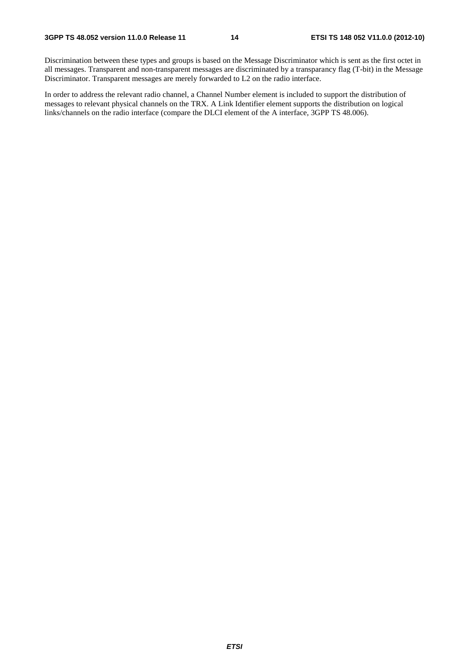Discrimination between these types and groups is based on the Message Discriminator which is sent as the first octet in all messages. Transparent and non-transparent messages are discriminated by a transparancy flag (T-bit) in the Message Discriminator. Transparent messages are merely forwarded to L2 on the radio interface.

In order to address the relevant radio channel, a Channel Number element is included to support the distribution of messages to relevant physical channels on the TRX. A Link Identifier element supports the distribution on logical links/channels on the radio interface (compare the DLCI element of the A interface, 3GPP TS 48.006).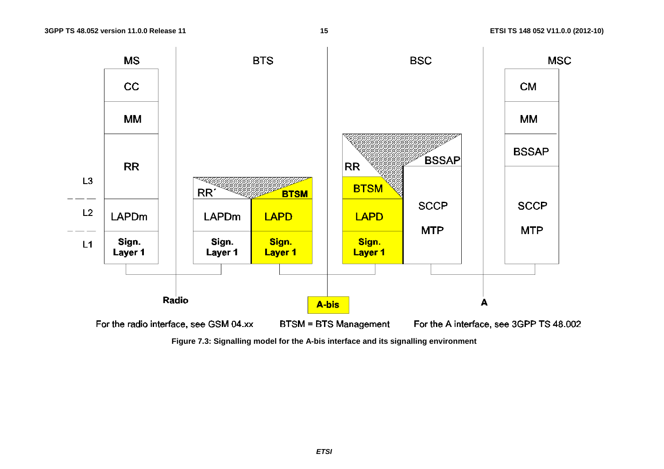

**Figure 7.3: Signalling model for the A-bis interface and its signalling environment**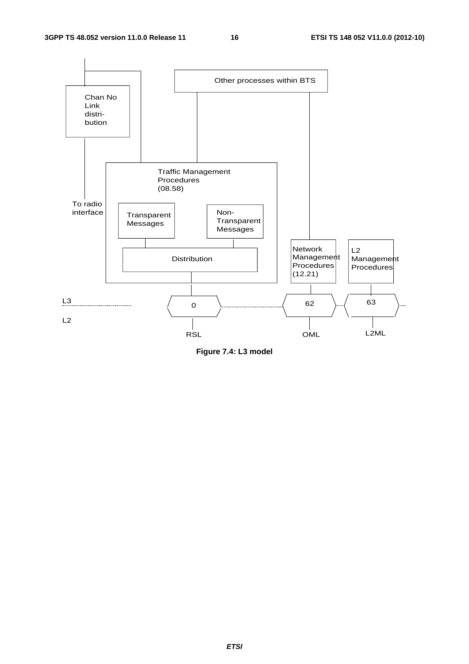

**Figure 7.4: L3 model**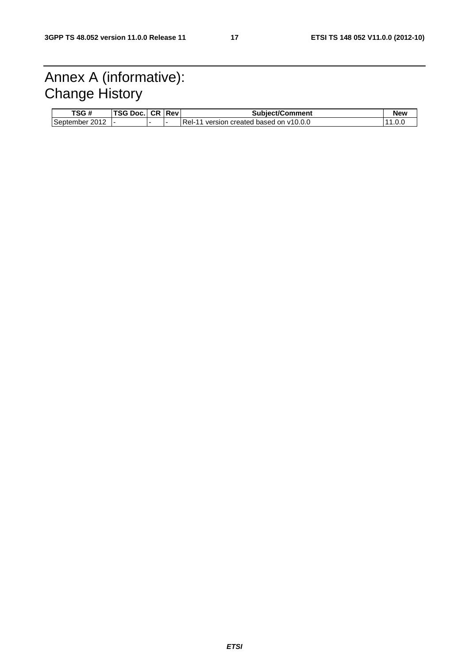# Annex A (informative): Change History

| TSG #          | TSG Doc. | CR. | <b>Rev</b> | <b>Subiect/Comment</b>                                     | New   |
|----------------|----------|-----|------------|------------------------------------------------------------|-------|
| September 2012 |          |     |            | version created based on v10.0.0<br>Rel-<br>$\overline{A}$ | 1.0.0 |